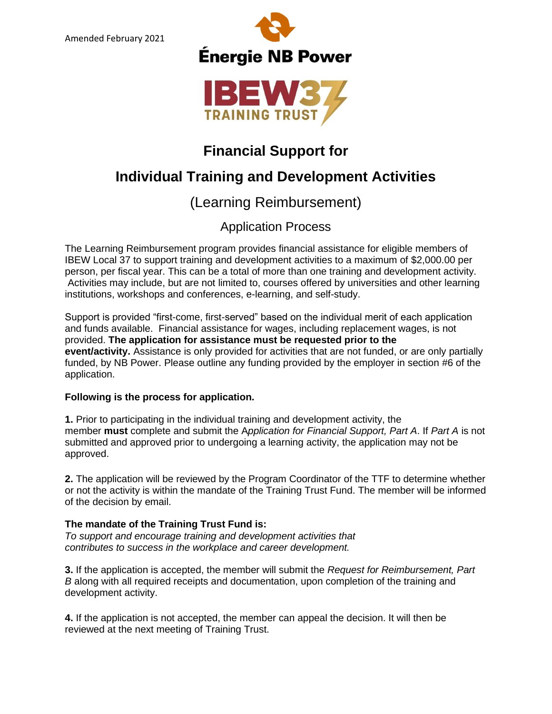



## **Financial Support for**

# **Individual Training and Development Activities**

## (Learning Reimbursement)

### Application Process

The Learning Reimbursement program provides financial assistance for eligible members of IBEW Local 37 to support training and development activities to a maximum of \$2,000.00 per person, per fiscal year. This can be a total of more than one training and development activity. Activities may include, but are not limited to, courses offered by universities and other learning institutions, workshops and conferences, e-learning, and self-study.

Support is provided "first-come, first-served" based on the individual merit of each application and funds available. Financial assistance for wages, including replacement wages, is not provided. **The application for assistance must be requested prior to the event/activity.** Assistance is only provided for activities that are not funded, or are only partially funded, by NB Power. Please outline any funding provided by the employer in section #6 of the application.

#### **Following is the process for application.**

**1.** Prior to participating in the individual training and development activity, the member **must** complete and submit the A*pplication for Financial Support, Part A*. If *Part A* is not submitted and approved prior to undergoing a learning activity, the application may not be approved.

**2.** The application will be reviewed by the Program Coordinator of the TTF to determine whether or not the activity is within the mandate of the Training Trust Fund. The member will be informed of the decision by email.

#### **The mandate of the Training Trust Fund is:**

*To support and encourage training and development activities that contributes to success in the workplace and career development.*

**3.** If the application is accepted, the member will submit the *Request for Reimbursement, Part B* along with all required receipts and documentation, upon completion of the training and development activity.

**4.** If the application is not accepted, the member can appeal the decision. It will then be reviewed at the next meeting of Training Trust.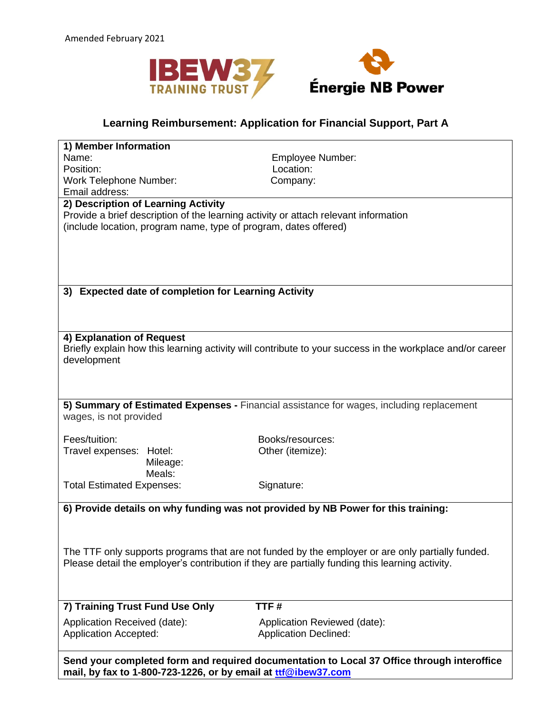



### **Learning Reimbursement: Application for Financial Support, Part A**

| 1) Member Information                                                                            |                                                                                                           |  |  |
|--------------------------------------------------------------------------------------------------|-----------------------------------------------------------------------------------------------------------|--|--|
| Name:                                                                                            | Employee Number:                                                                                          |  |  |
| Position:                                                                                        | Location:                                                                                                 |  |  |
| <b>Work Telephone Number:</b>                                                                    | Company:                                                                                                  |  |  |
| Email address:                                                                                   |                                                                                                           |  |  |
| 2) Description of Learning Activity                                                              |                                                                                                           |  |  |
| Provide a brief description of the learning activity or attach relevant information              |                                                                                                           |  |  |
| (include location, program name, type of program, dates offered)                                 |                                                                                                           |  |  |
|                                                                                                  |                                                                                                           |  |  |
|                                                                                                  |                                                                                                           |  |  |
|                                                                                                  |                                                                                                           |  |  |
|                                                                                                  |                                                                                                           |  |  |
|                                                                                                  |                                                                                                           |  |  |
| <b>Expected date of completion for Learning Activity</b><br>3)                                   |                                                                                                           |  |  |
|                                                                                                  |                                                                                                           |  |  |
|                                                                                                  |                                                                                                           |  |  |
| 4) Explanation of Request                                                                        |                                                                                                           |  |  |
|                                                                                                  | Briefly explain how this learning activity will contribute to your success in the workplace and/or career |  |  |
| development                                                                                      |                                                                                                           |  |  |
|                                                                                                  |                                                                                                           |  |  |
|                                                                                                  |                                                                                                           |  |  |
|                                                                                                  |                                                                                                           |  |  |
| 5) Summary of Estimated Expenses - Financial assistance for wages, including replacement         |                                                                                                           |  |  |
| wages, is not provided                                                                           |                                                                                                           |  |  |
|                                                                                                  |                                                                                                           |  |  |
| Fees/tuition:                                                                                    | Books/resources:                                                                                          |  |  |
| Travel expenses:<br>Hotel:                                                                       | Other (itemize):                                                                                          |  |  |
| Mileage:                                                                                         |                                                                                                           |  |  |
| Meals:                                                                                           |                                                                                                           |  |  |
| <b>Total Estimated Expenses:</b>                                                                 | Signature:                                                                                                |  |  |
|                                                                                                  |                                                                                                           |  |  |
| 6) Provide details on why funding was not provided by NB Power for this training:                |                                                                                                           |  |  |
|                                                                                                  |                                                                                                           |  |  |
|                                                                                                  |                                                                                                           |  |  |
|                                                                                                  |                                                                                                           |  |  |
| The TTF only supports programs that are not funded by the employer or are only partially funded. |                                                                                                           |  |  |
| Please detail the employer's contribution if they are partially funding this learning activity.  |                                                                                                           |  |  |
|                                                                                                  |                                                                                                           |  |  |
|                                                                                                  |                                                                                                           |  |  |
|                                                                                                  |                                                                                                           |  |  |
| 7) Training Trust Fund Use Only                                                                  | TTF#                                                                                                      |  |  |
|                                                                                                  |                                                                                                           |  |  |
| Application Received (date):                                                                     | Application Reviewed (date):                                                                              |  |  |
| <b>Application Accepted:</b>                                                                     | <b>Application Declined:</b>                                                                              |  |  |

**Send your completed form and required documentation to Local 37 Office through interoffice mail, by fax to 1-800-723-1226, or by email at [ttf](mailto:ttf@ibew37.com)[@ibew37.com](mailto:ttf@ibew37.com)**